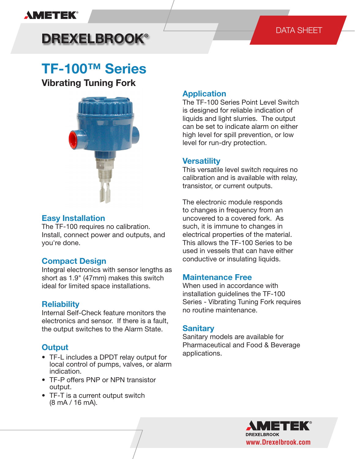# **AMETEK®**

# **DREXELBROOK®**

# **TF-100™ Series Vibrating Tuning Fork**



## **Easy Installation**

The TF-100 requires no calibration. Install, connect power and outputs, and you're done.

## **Compact Design**

Integral electronics with sensor lengths as short as 1.9" (47mm) makes this switch ideal for limited space installations.

### **Reliability**

Internal Self-Check feature monitors the electronics and sensor. If there is a fault, the output switches to the Alarm State.

# **Output**

- TF-L includes a DPDT relay output for local control of pumps, valves, or alarm indication.
- TF-P offers PNP or NPN transistor output.
- TF-T is a current output switch (8 mA / 16 mA).

## **Application**

The TF-100 Series Point Level Switch is designed for reliable indication of liquids and light slurries. The output can be set to indicate alarm on either high level for spill prevention, or low level for run-dry protection.

## **Versatility**

This versatile level switch requires no calibration and is available with relay, transistor, or current outputs.

The electronic module responds to changes in frequency from an uncovered to a covered fork. As such, it is immune to changes in electrical properties of the material. This allows the TF‑100 Series to be used in vessels that can have either conductive or insulating liquids.

## **Maintenance Free**

When used in accordance with installation guidelines the TF‑100 Series - Vibrating Tuning Fork requires no routine maintenance.

### **Sanitary**

Sanitary models are available for Pharmaceutical and Food & Beverage applications.

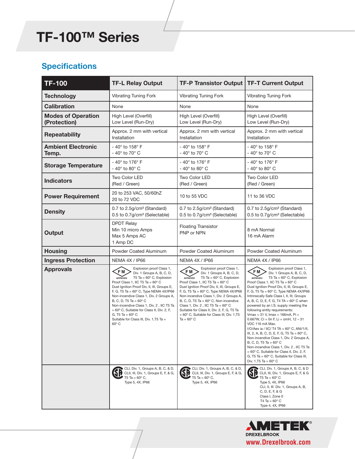# *Z-tron IV™ Z4-Series* **TF-100 TF-100™ ™ Series**

# **Specifications**

| <b>TF-100</b>                             | <b>TF-L Relay Output</b>                                                                                                                                                                                                                                                                                                                                                                                                                                                                                            | <b>TF-P Transistor Output</b>                                                                                                                                                                                                                                                                                                                                                                                                                                                                                     | <b>TF-T Current Output</b>                                                                                                                                                                                                                                                                                                                                                                                                                                                                                                                                                                                                                                                                                                                                                                                                                                                                                 |
|-------------------------------------------|---------------------------------------------------------------------------------------------------------------------------------------------------------------------------------------------------------------------------------------------------------------------------------------------------------------------------------------------------------------------------------------------------------------------------------------------------------------------------------------------------------------------|-------------------------------------------------------------------------------------------------------------------------------------------------------------------------------------------------------------------------------------------------------------------------------------------------------------------------------------------------------------------------------------------------------------------------------------------------------------------------------------------------------------------|------------------------------------------------------------------------------------------------------------------------------------------------------------------------------------------------------------------------------------------------------------------------------------------------------------------------------------------------------------------------------------------------------------------------------------------------------------------------------------------------------------------------------------------------------------------------------------------------------------------------------------------------------------------------------------------------------------------------------------------------------------------------------------------------------------------------------------------------------------------------------------------------------------|
| <b>Technology</b>                         | <b>Vibrating Tuning Fork</b>                                                                                                                                                                                                                                                                                                                                                                                                                                                                                        | <b>Vibrating Tuning Fork</b>                                                                                                                                                                                                                                                                                                                                                                                                                                                                                      | <b>Vibrating Tuning Fork</b>                                                                                                                                                                                                                                                                                                                                                                                                                                                                                                                                                                                                                                                                                                                                                                                                                                                                               |
| <b>Calibration</b>                        | None                                                                                                                                                                                                                                                                                                                                                                                                                                                                                                                | None                                                                                                                                                                                                                                                                                                                                                                                                                                                                                                              | None                                                                                                                                                                                                                                                                                                                                                                                                                                                                                                                                                                                                                                                                                                                                                                                                                                                                                                       |
| <b>Modes of Operation</b><br>(Protection) | High Level (Overfill)<br>Low Level (Run-Dry)                                                                                                                                                                                                                                                                                                                                                                                                                                                                        | High Level (Overfill)<br>Low Level (Run-Dry)                                                                                                                                                                                                                                                                                                                                                                                                                                                                      | High Level (Overfill)<br>Low Level (Run-Dry)                                                                                                                                                                                                                                                                                                                                                                                                                                                                                                                                                                                                                                                                                                                                                                                                                                                               |
| <b>Repeatability</b>                      | Approx. 2 mm with vertical<br>Installation                                                                                                                                                                                                                                                                                                                                                                                                                                                                          | Approx. 2 mm with vertical<br>Installation                                                                                                                                                                                                                                                                                                                                                                                                                                                                        | Approx. 2 mm with vertical<br>Installation                                                                                                                                                                                                                                                                                                                                                                                                                                                                                                                                                                                                                                                                                                                                                                                                                                                                 |
| <b>Ambient Electronic</b><br>Temp.        | - 40 $^{\circ}$ to 158 $^{\circ}$ F<br>- 40 $\degree$ to 70 $\degree$ C                                                                                                                                                                                                                                                                                                                                                                                                                                             | - 40 $^{\circ}$ to 158 $^{\circ}$ F<br>- 40° to 70° C                                                                                                                                                                                                                                                                                                                                                                                                                                                             | - 40 $\degree$ to 158 $\degree$ F<br>- 40 $^{\circ}$ to 70 $^{\circ}$ C                                                                                                                                                                                                                                                                                                                                                                                                                                                                                                                                                                                                                                                                                                                                                                                                                                    |
| <b>Storage Temperature</b>                | - 40° to 176° F<br>- 40 $^{\circ}$ to 80 $^{\circ}$ C                                                                                                                                                                                                                                                                                                                                                                                                                                                               | - 40° to 176° F<br>- 40° to 80° C                                                                                                                                                                                                                                                                                                                                                                                                                                                                                 | - 40 $^{\circ}$ to 176 $^{\circ}$ F<br>- 40° to 80° C                                                                                                                                                                                                                                                                                                                                                                                                                                                                                                                                                                                                                                                                                                                                                                                                                                                      |
| <b>Indicators</b>                         | Two Color LED<br>(Red / Green)                                                                                                                                                                                                                                                                                                                                                                                                                                                                                      | Two Color LED<br>(Red / Green)                                                                                                                                                                                                                                                                                                                                                                                                                                                                                    | Two Color LED<br>(Red / Green)                                                                                                                                                                                                                                                                                                                                                                                                                                                                                                                                                                                                                                                                                                                                                                                                                                                                             |
| <b>Power Requirement</b>                  | 20 to 253 VAC, 50/60hZ<br>20 to 72 VDC                                                                                                                                                                                                                                                                                                                                                                                                                                                                              | 10 to 55 VDC                                                                                                                                                                                                                                                                                                                                                                                                                                                                                                      | 11 to 36 VDC                                                                                                                                                                                                                                                                                                                                                                                                                                                                                                                                                                                                                                                                                                                                                                                                                                                                                               |
| <b>Density</b>                            | 0.7 to 2.5g/cm <sup>3</sup> (Standard)<br>0.5 to 0.7g/cm <sup>3</sup> (Selectable)                                                                                                                                                                                                                                                                                                                                                                                                                                  | 0.7 to 2.5q/cm <sup>3</sup> (Standard)<br>0.5 to 0.7g/cm <sup>3</sup> (Selectable)                                                                                                                                                                                                                                                                                                                                                                                                                                | 0.7 to 2.5g/cm <sup>3</sup> (Standard)<br>0.5 to 0.7g/cm <sup>3</sup> (Selectable)                                                                                                                                                                                                                                                                                                                                                                                                                                                                                                                                                                                                                                                                                                                                                                                                                         |
| <b>Output</b>                             | <b>DPDT Relay</b><br>Min 10 micro Amps<br>Max 5 Amps AC<br>1 Amp DC                                                                                                                                                                                                                                                                                                                                                                                                                                                 | <b>Floating Transistor</b><br>PNP or NPN                                                                                                                                                                                                                                                                                                                                                                                                                                                                          | 8 mA Normal<br>16 mA Alarm                                                                                                                                                                                                                                                                                                                                                                                                                                                                                                                                                                                                                                                                                                                                                                                                                                                                                 |
| <b>Housing</b>                            | <b>Powder Coated Aluminum</b>                                                                                                                                                                                                                                                                                                                                                                                                                                                                                       | <b>Powder Coated Aluminum</b>                                                                                                                                                                                                                                                                                                                                                                                                                                                                                     | Powder Coated Aluminum                                                                                                                                                                                                                                                                                                                                                                                                                                                                                                                                                                                                                                                                                                                                                                                                                                                                                     |
| <b>Ingress Protection</b>                 | NEMA 4X / IP66                                                                                                                                                                                                                                                                                                                                                                                                                                                                                                      | NEMA 4X / IP66                                                                                                                                                                                                                                                                                                                                                                                                                                                                                                    | NEMA 4X / IP66                                                                                                                                                                                                                                                                                                                                                                                                                                                                                                                                                                                                                                                                                                                                                                                                                                                                                             |
| <b>Approvals</b>                          | Explosion proof Class 1,<br>F M<br>Div. 1 Groups A, B, C, D,<br>T5 Ta = $60^{\circ}$ C, Explosion<br>APPROVED<br>Proof Class 1, IIC T5 Ta = 60° C<br>Dust Ignition Proof Div, II, III, Groups E,<br>F, G, T5 Ta = 60° C, Type NEMA 4X/IP66<br>Non-incendive Class 1, Div. 2 Groups A,<br>B, C, D, T5 Ta = $60^{\circ}$ C<br>Non-incendive Class 1, Div. 2, IIC T5 Ta<br>$= 60^{\circ}$ C, Suitable for Class II, Div. 2, F,<br>G, T5 Ta = $60^{\circ}$ C<br>Suitable for Class III, Div. 1, T5 Ta =<br>$60^\circ$ C | Explosion proof Class 1,<br>F M<br>Div. 1 Groups A, B, C, D,<br>T5 Ta = $60^\circ$ C, Explosion<br>APPROVED<br>Proof Class 1, IIC T5 Ta = 60° C<br>Dust Ignition Proof Div, II, III, Groups E,<br>F, G, T5 Ta = 60° C, Type NEMA 4X/IP66<br>Non-incendive Class 1, Div. 2 Groups A,<br>B, C, D, T5 Ta = $60^{\circ}$ C, Non-incendive<br>Class 1, Div. 2, IIC T5 Ta = $60^{\circ}$ C<br>Suitable for Class II, Div. 2, F, G, T5 Ta<br>$= 60^{\circ}$ C, Suitable for Class III, Div. 1, T5<br>Ta = $60^{\circ}$ C | Explosion proof Class 1,<br>F M<br>Div. 1 Groups A, B, C, D,<br>T5 Ta = $60^{\circ}$ C, Explosion<br>APPROVED<br>Proof Class 1, IIC T5 Ta = 60° C<br>Dust Ignition Proof Div, II, III, Groups E,<br>F, G, T5 Ta = $60^{\circ}$ C, Type NEMA 4X/IP66<br>Intrinsically Safe Class I, II, III, Groups<br>A, B, C, D, E, F, G, T4 TA = 60° C when<br>powered by an I.S. supply meeting the<br>following entity requirements:<br>Vmax = $31$ V, Imax = $166$ mA, Pi =<br>$0.667W$ , Ci = 0n F, Li = omH, 12 - 31<br>VDC 116 mA Max.<br>I/O/Aex ia / IIC/T4 TA = $60^{\circ}$ C, ANI/1/II,<br>III, 2, A, B, C, D, E, F, G, T5 Ta = 60° C,<br>Non-incendive Class 1, Div. 2 Groups A,<br>B, C, D, T5 Ta = $60^{\circ}$ C<br>Non-incendive Class 1, Div. 2, IIC T5 Ta<br>$= 60^{\circ}$ C, Suitable for Class II, Div. 2, F,<br>G, T5 Ta = $60^\circ$ C, Suitable for Class III,<br>Div. 1, T5 Ta = $60^{\circ}$ C |
|                                           | CLI, Div. 1, Groups A, B, C, & D,<br>CLII, III, Div. 1, Groups E, F, & G,<br>T5 Ta = $60^{\circ}$ C,<br>Type 5, 4X, IP66                                                                                                                                                                                                                                                                                                                                                                                            | CLI, Div. 1, Groups A, B, C, & D,<br>CLII, III, Div. 1, Groups E, F, & G,<br>T5 Ta = $60^{\circ}$ C,<br>Type 5, 4X, IP66                                                                                                                                                                                                                                                                                                                                                                                          | CLI, Div. 1, Groups A, B, C, & D<br>CLII, III, Div. 1, Groups E, F, & G<br>T5 Ta = $60^{\circ}$ C<br>Type 5, 4X, IP66<br>CLI, II, III Div. 1, Groups A, B,<br>C, D, E, F, & G<br>Class I, Zone 0<br>T4 Ta = $60^{\circ}$ C<br>Type 4, 4X, IP66                                                                                                                                                                                                                                                                                                                                                                                                                                                                                                                                                                                                                                                             |

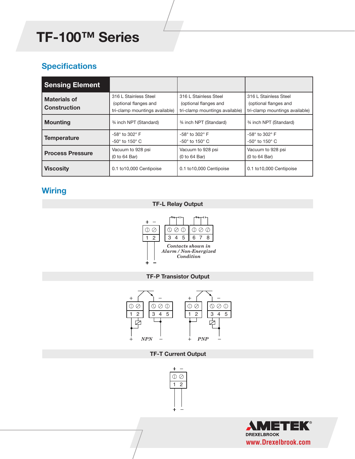# *TF-100™ Series* **TF-100 TF-100™ ™ Series**

# **Specifications**

| <b>Sensing Element</b>                                        |                                                                                  |                                                                                  |                                                                                  |
|---------------------------------------------------------------|----------------------------------------------------------------------------------|----------------------------------------------------------------------------------|----------------------------------------------------------------------------------|
| <b>Materials of</b><br><b>Construction</b>                    | 316 L Stainless Steel<br>(optional flanges and<br>tri-clamp mountings available) | 316 L Stainless Steel<br>(optional flanges and<br>tri-clamp mountings available) | 316 L Stainless Steel<br>(optional flanges and<br>tri-clamp mountings available) |
| <b>Mounting</b><br>34 inch NPT (Standard)                     |                                                                                  | 34 inch NPT (Standard)                                                           | 34 inch NPT (Standard)                                                           |
| <b>Temperature</b>                                            | $-58^\circ$ to $302^\circ$ F<br>$-50^\circ$ to 150 $^\circ$ C                    | $-58^\circ$ to $302^\circ$ F<br>$-50^\circ$ to 150 $^\circ$ C                    | $-58^\circ$ to $302^\circ$ F<br>$-50^\circ$ to 150 $^\circ$ C                    |
| Vacuum to 928 psi<br><b>Process Pressure</b><br>(0 to 64 Bar) |                                                                                  | Vacuum to 928 psi<br>(0 to 64 Bar)                                               | Vacuum to 928 psi<br>(0 to 64 Bar)                                               |
| <b>Viscosity</b>                                              | 0.1 to 10,000 Centipoise                                                         | 0.1 to 10,000 Centipoise                                                         | 0.1 to10,000 Centipoise                                                          |

## **Wiring**

#### **TF-L Relay Output**



### **TF-P Transistor Output**



### **TF-T Current Output**